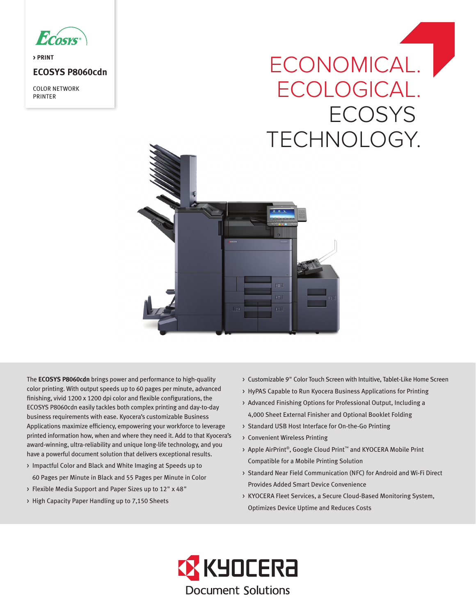

**> PRINT**

# **ECOSYS P8060cdn**

COLOR NETWORK PRINTER

# ECONOMICAL.<sup>1</sup> ECOLOGICAL. **ECOSYS** TECHNOLOGY.



The **ECOSYS P8060cdn** brings power and performance to high-quality color printing. With output speeds up to 60 pages per minute, advanced finishing, vivid 1200 x 1200 dpi color and flexible configurations, the ECOSYS P8060cdn easily tackles both complex printing and day-to-day business requirements with ease. Kyocera's customizable Business Applications maximize efficiency, empowering your workforce to leverage printed information how, when and where they need it. Add to that Kyocera's award-winning, ultra-reliability and unique long-life technology, and you have a powerful document solution that delivers exceptional results.

- > Impactful Color and Black and White Imaging at Speeds up to 60 Pages per Minute in Black and 55 Pages per Minute in Color
- > Flexible Media Support and Paper Sizes up to 12" x 48"
- > High Capacity Paper Handling up to 7,150 Sheets
- > Customizable 9" Color Touch Screen with Intuitive, Tablet-Like Home Screen
- > HyPAS Capable to Run Kyocera Business Applications for Printing
- > Advanced Finishing Options for Professional Output, Including a 4,000 Sheet External Finisher and Optional Booklet Folding
- > Standard USB Host Interface for On-the-Go Printing
- > Convenient Wireless Printing
- > Apple AirPrint®, Google Cloud Print™ and KYOCERA Mobile Print Compatible for a Mobile Printing Solution
- > Standard Near Field Communication (NFC) for Android and Wi-Fi Direct Provides Added Smart Device Convenience
- > KYOCERA Fleet Services, a Secure Cloud-Based Monitoring System, Optimizes Device Uptime and Reduces Costs